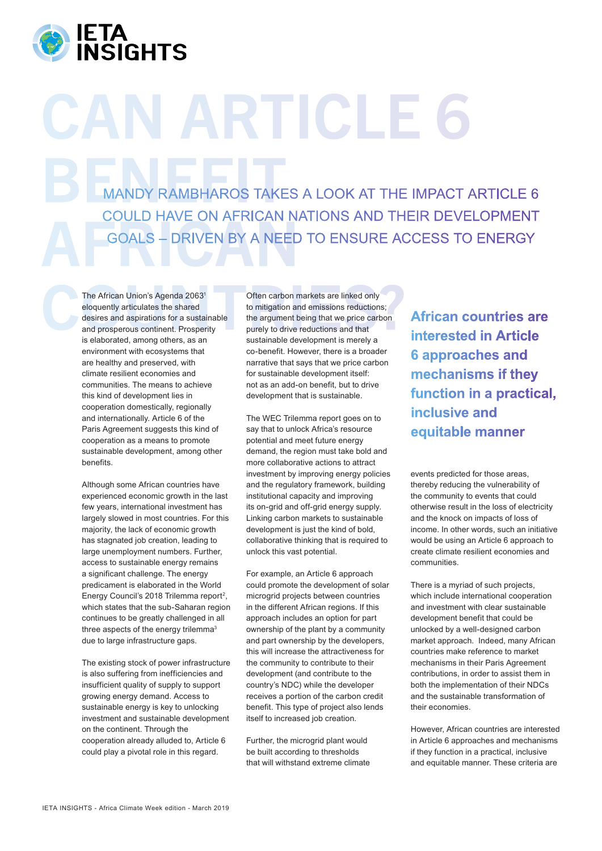

## **N ARTICLE** MANDY RAMBHAROS TAKES **COULD HAVE ON AFRICAN NAT** MANDY RAMBHAROS TAKES A LOOK AT THE IMPACT ARTICLE 6 COULD HAVE ON AFRICAN NATIONS AND THEIR DEVELOPMENT GOALS – DRIVEN BY A NEED TO ENSURE ACCESS TO ENERGY

The African Union's Agenda 2063<sup>1</sup> Often carbon markets are linked only eloquently articulates the shared desires and aspirations for a sustainable desires and aspirations for a sustainable argument being that we price car The African Union's Agenda 20631 eloquently articulates the shared desires and aspirations for a sustainable and prosperous continent. Prosperity is elaborated, among others, as an environment with ecosystems that are healthy and preserved, with climate resilient economies and communities. The means to achieve this kind of development lies in cooperation domestically, regionally and internationally. Article 6 of the Paris Agreement suggests this kind of cooperation as a means to promote sustainable development, among other benefits.

> Although some African countries have experienced economic growth in the last few years, international investment has largely slowed in most countries. For this majority, the lack of economic growth has stagnated job creation, leading to large unemployment numbers. Further, access to sustainable energy remains a significant challenge. The energy predicament is elaborated in the World Energy Council's 2018 Trilemma report<sup>2</sup>, which states that the sub-Saharan region continues to be greatly challenged in all three aspects of the energy trilemma<sup>3</sup> due to large infrastructure gaps.

> The existing stock of power infrastructure is also suffering from inefficiencies and insufficient quality of supply to support growing energy demand. Access to sustainable energy is key to unlocking investment and sustainable development on the continent. Through the cooperation already alluded to, Article 6 could play a pivotal role in this regard.

Often carbon markets are linked only to mitigation and emissions reductions; the argument being that we price carbon purely to drive reductions and that sustainable development is merely a co-benefit. However, there is a broader narrative that says that we price carbon for sustainable development itself: not as an add-on benefit, but to drive development that is sustainable.

The WEC Trilemma report goes on to say that to unlock Africa's resource potential and meet future energy demand, the region must take bold and more collaborative actions to attract investment by improving energy policies and the regulatory framework, building institutional capacity and improving its on-grid and off-grid energy supply. Linking carbon markets to sustainable development is just the kind of bold, collaborative thinking that is required to unlock this vast potential.

For example, an Article 6 approach could promote the development of solar microgrid projects between countries in the different African regions. If this approach includes an option for part ownership of the plant by a community and part ownership by the developers, this will increase the attractiveness for the community to contribute to their development (and contribute to the country's NDC) while the developer receives a portion of the carbon credit benefit. This type of project also lends itself to increased job creation.

Further, the microgrid plant would be built according to thresholds that will withstand extreme climate **African countries are interested in Article 6 approaches and mechanisms if they function in a practical, inclusive and equitable manner**

events predicted for those areas, thereby reducing the vulnerability of the community to events that could otherwise result in the loss of electricity and the knock on impacts of loss of income. In other words, such an initiative would be using an Article 6 approach to create climate resilient economies and communities.

There is a myriad of such projects, which include international cooperation and investment with clear sustainable development benefit that could be unlocked by a well-designed carbon market approach. Indeed, many African countries make reference to market mechanisms in their Paris Agreement contributions, in order to assist them in both the implementation of their NDCs and the sustainable transformation of their economies.

However, African countries are interested in Article 6 approaches and mechanisms if they function in a practical, inclusive and equitable manner. These criteria are